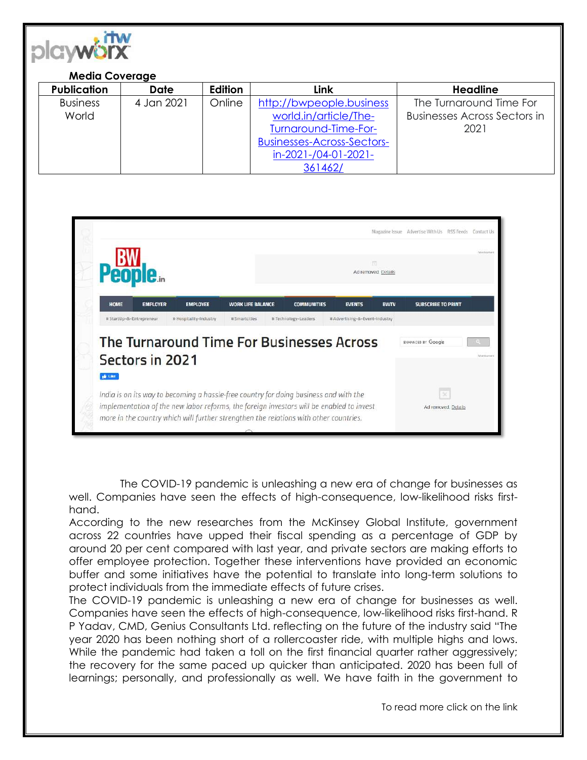

## **Media Coverage**

| <b>Publication</b> | <b>Date</b> | Edition | Link                              | <b>Headline</b>                     |
|--------------------|-------------|---------|-----------------------------------|-------------------------------------|
| <b>Business</b>    | 4 Jan 2021  | Online  | http://bwpeople.business          | The Turnaround Time For             |
| World              |             |         | world.in/article/The-             | <b>Businesses Across Sectors in</b> |
|                    |             |         | Turnaround-Time-For-              | 2021                                |
|                    |             |         | <b>Businesses-Across-Sectors-</b> |                                     |
|                    |             |         | in-2021-/04-01-2021-              |                                     |
|                    |             |         | 361462/                           |                                     |



The COVID-19 pandemic is unleashing a new era of change for businesses as well. Companies have seen the effects of high-consequence, low-likelihood risks firsthand.

According to the new researches from the McKinsey Global Institute, government across 22 countries have upped their fiscal spending as a percentage of GDP by around 20 per cent compared with last year, and private sectors are making efforts to offer employee protection. Together these interventions have provided an economic buffer and some initiatives have the potential to translate into long-term solutions to protect individuals from the immediate effects of future crises.

The COVID-19 pandemic is unleashing a new era of change for businesses as well. Companies have seen the effects of high-consequence, low-likelihood risks first-hand. R P Yadav, CMD, Genius Consultants Ltd. reflecting on the future of the industry said "The year 2020 has been nothing short of a rollercoaster ride, with multiple highs and lows. While the pandemic had taken a toll on the first financial quarter rather aggressively; the recovery for the same paced up quicker than anticipated. 2020 has been full of learnings; personally, and professionally as well. We have faith in the government to